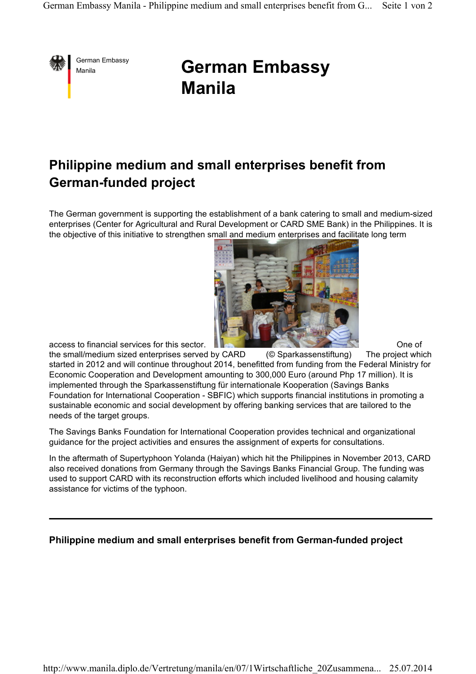

## **German Embassy German Embassy Manila**

## **Philippine medium and small enterprises benefit from German-funded project**

The German government is supporting the establishment of a bank catering to small and medium-sized enterprises (Center for Agricultural and Rural Development or CARD SME Bank) in the Philippines. It is the objective of this initiative to strengthen small and medium enterprises and facilitate long term



access to financial services for this sector.<br>
the small/medium sized enterprises served by CARD (© Sparkassenstiftung) The project which the small/medium sized enterprises served by CARD (© Sparkassenstiftung) The project which started in 2012 and will continue throughout 2014, benefitted from funding from the Federal Ministry for Economic Cooperation and Development amounting to 300,000 Euro (around Php 17 million). It is implemented through the Sparkassenstiftung für internationale Kooperation (Savings Banks Foundation for International Cooperation - SBFIC) which supports financial institutions in promoting a sustainable economic and social development by offering banking services that are tailored to the needs of the target groups.

The Savings Banks Foundation for International Cooperation provides technical and organizational guidance for the project activities and ensures the assignment of experts for consultations.

In the aftermath of Supertyphoon Yolanda (Haiyan) which hit the Philippines in November 2013, CARD also received donations from Germany through the Savings Banks Financial Group. The funding was used to support CARD with its reconstruction efforts which included livelihood and housing calamity assistance for victims of the typhoon.

## **Philippine medium and small enterprises benefit from German-funded project**